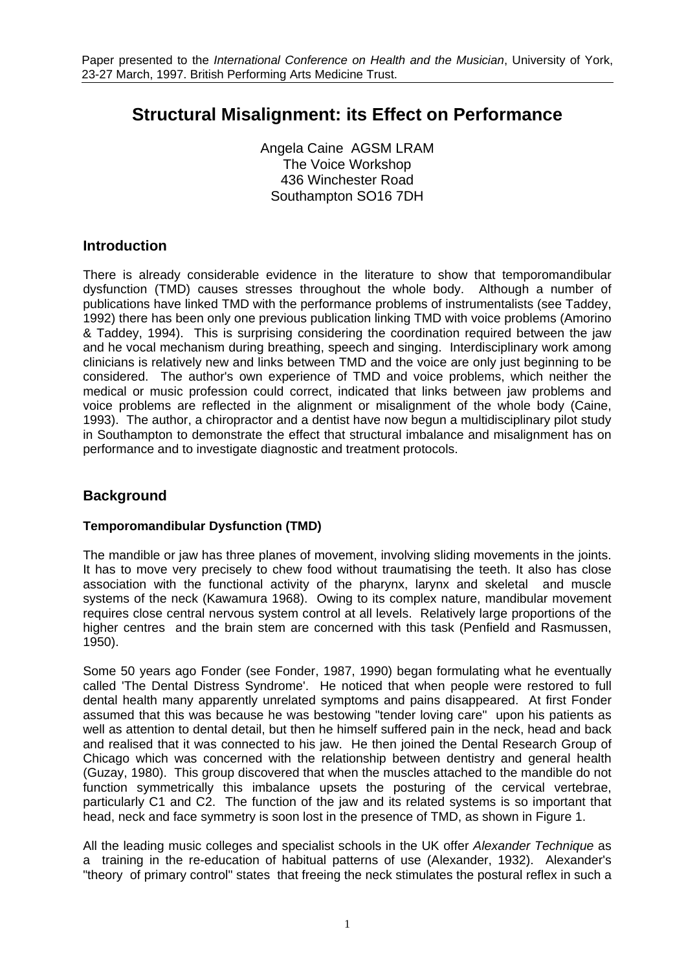# **Structural Misalignment: its Effect on Performance**

Angela Caine AGSM LRAM The Voice Workshop 436 Winchester Road Southampton SO16 7DH

# **Introduction**

There is already considerable evidence in the literature to show that temporomandibular dysfunction (TMD) causes stresses throughout the whole body. Although a number of publications have linked TMD with the performance problems of instrumentalists (see Taddey, 1992) there has been only one previous publication linking TMD with voice problems (Amorino & Taddey, 1994). This is surprising considering the coordination required between the jaw and he vocal mechanism during breathing, speech and singing. Interdisciplinary work among clinicians is relatively new and links between TMD and the voice are only just beginning to be considered. The author's own experience of TMD and voice problems, which neither the medical or music profession could correct, indicated that links between jaw problems and voice problems are reflected in the alignment or misalignment of the whole body (Caine, 1993). The author, a chiropractor and a dentist have now begun a multidisciplinary pilot study in Southampton to demonstrate the effect that structural imbalance and misalignment has on performance and to investigate diagnostic and treatment protocols.

# **Background**

# **Temporomandibular Dysfunction (TMD)**

The mandible or jaw has three planes of movement, involving sliding movements in the joints. It has to move very precisely to chew food without traumatising the teeth. It also has close association with the functional activity of the pharynx, larynx and skeletal and muscle systems of the neck (Kawamura 1968). Owing to its complex nature, mandibular movement requires close central nervous system control at all levels. Relatively large proportions of the higher centres and the brain stem are concerned with this task (Penfield and Rasmussen, 1950).

Some 50 years ago Fonder (see Fonder, 1987, 1990) began formulating what he eventually called 'The Dental Distress Syndrome'. He noticed that when people were restored to full dental health many apparently unrelated symptoms and pains disappeared. At first Fonder assumed that this was because he was bestowing "tender loving care" upon his patients as well as attention to dental detail, but then he himself suffered pain in the neck, head and back and realised that it was connected to his jaw. He then joined the Dental Research Group of Chicago which was concerned with the relationship between dentistry and general health (Guzay, 1980). This group discovered that when the muscles attached to the mandible do not function symmetrically this imbalance upsets the posturing of the cervical vertebrae, particularly C1 and C2. The function of the jaw and its related systems is so important that head, neck and face symmetry is soon lost in the presence of TMD, as shown in Figure 1.

All the leading music colleges and specialist schools in the UK offer *Alexander Technique* as a training in the re-education of habitual patterns of use (Alexander, 1932). Alexander's "theory of primary control" states that freeing the neck stimulates the postural reflex in such a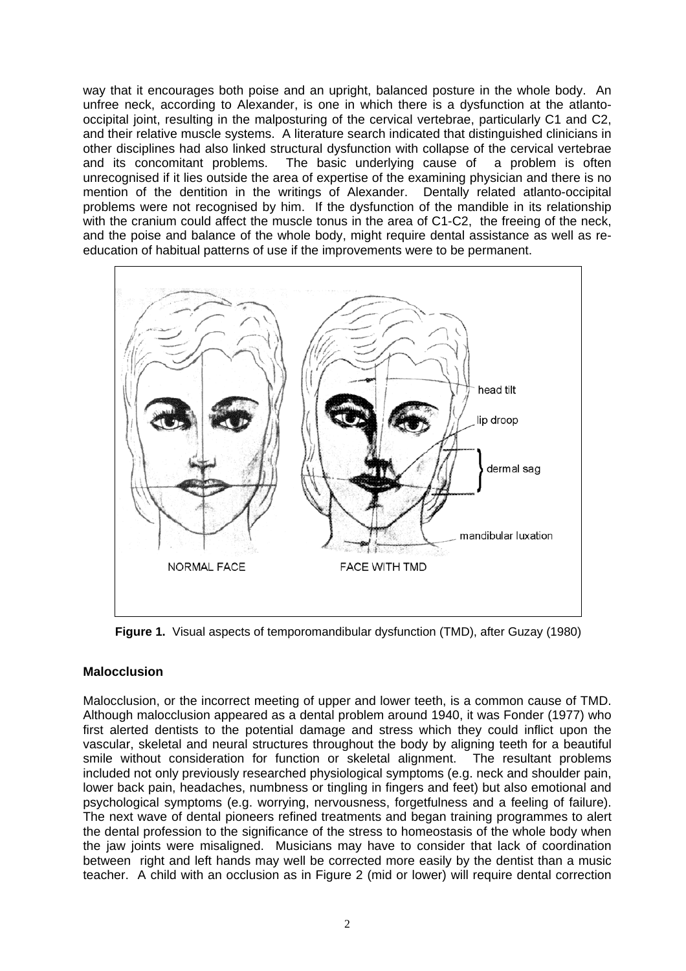way that it encourages both poise and an upright, balanced posture in the whole body. An unfree neck, according to Alexander, is one in which there is a dysfunction at the atlantooccipital joint, resulting in the malposturing of the cervical vertebrae, particularly C1 and C2, and their relative muscle systems. A literature search indicated that distinguished clinicians in other disciplines had also linked structural dysfunction with collapse of the cervical vertebrae and its concomitant problems. The basic underlying cause of a problem is often unrecognised if it lies outside the area of expertise of the examining physician and there is no mention of the dentition in the writings of Alexander. Dentally related atlanto-occipital problems were not recognised by him. If the dysfunction of the mandible in its relationship with the cranium could affect the muscle tonus in the area of C1-C2, the freeing of the neck, and the poise and balance of the whole body, might require dental assistance as well as reeducation of habitual patterns of use if the improvements were to be permanent.



**Figure 1.** Visual aspects of temporomandibular dysfunction (TMD), after Guzay (1980)

# **Malocclusion**

Malocclusion, or the incorrect meeting of upper and lower teeth, is a common cause of TMD. Although malocclusion appeared as a dental problem around 1940, it was Fonder (1977) who first alerted dentists to the potential damage and stress which they could inflict upon the vascular, skeletal and neural structures throughout the body by aligning teeth for a beautiful smile without consideration for function or skeletal alignment. included not only previously researched physiological symptoms (e.g. neck and shoulder pain, lower back pain, headaches, numbness or tingling in fingers and feet) but also emotional and psychological symptoms (e.g. worrying, nervousness, forgetfulness and a feeling of failure). The next wave of dental pioneers refined treatments and began training programmes to alert the dental profession to the significance of the stress to homeostasis of the whole body when the jaw joints were misaligned. Musicians may have to consider that lack of coordination between right and left hands may well be corrected more easily by the dentist than a music teacher. A child with an occlusion as in Figure 2 (mid or lower) will require dental correction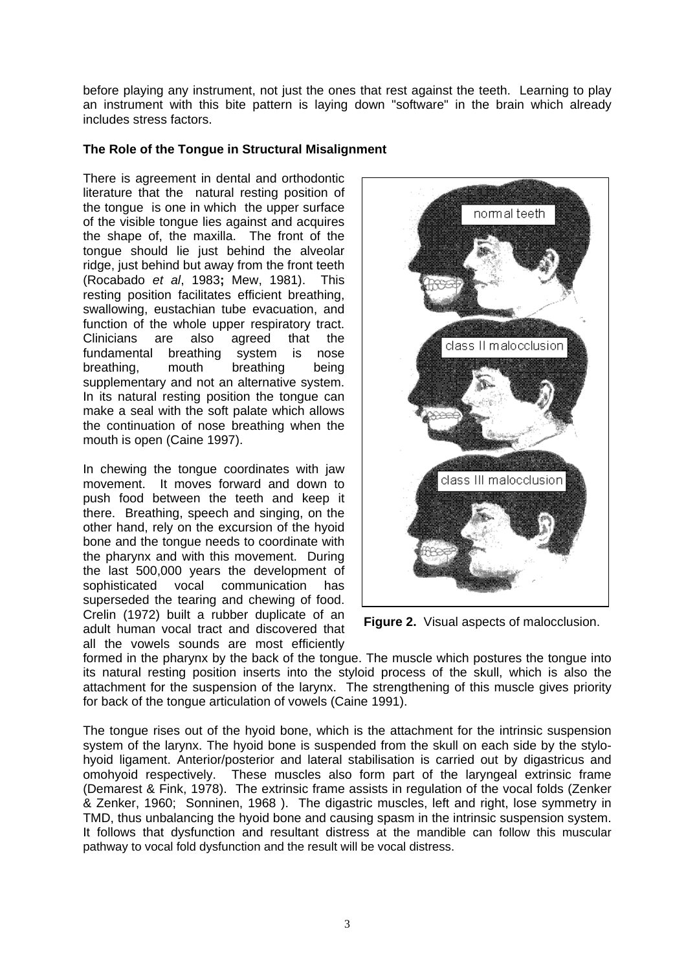before playing any instrument, not just the ones that rest against the teeth. Learning to play an instrument with this bite pattern is laying down "software" in the brain which already includes stress factors.

# **The Role of the Tongue in Structural Misalignment**

There is agreement in dental and orthodontic literature that the natural resting position of the tongue is one in which the upper surface of the visible tongue lies against and acquires the shape of, the maxilla. The front of the tongue should lie just behind the alveolar ridge, just behind but away from the front teeth (Rocabado *et al*, 1983**;** Mew, 1981). This resting position facilitates efficient breathing, swallowing, eustachian tube evacuation, and function of the whole upper respiratory tract. Clinicians are also agreed that the fundamental breathing system is nose breathing, mouth breathing being supplementary and not an alternative system. In its natural resting position the tongue can make a seal with the soft palate which allows the continuation of nose breathing when the mouth is open (Caine 1997).

In chewing the tongue coordinates with jaw movement. It moves forward and down to push food between the teeth and keep it there. Breathing, speech and singing, on the other hand, rely on the excursion of the hyoid bone and the tongue needs to coordinate with the pharynx and with this movement. During the last 500,000 years the development of sophisticated vocal communication has superseded the tearing and chewing of food. Crelin (1972) built a rubber duplicate of an adult human vocal tract and discovered that all the vowels sounds are most efficiently



**Figure 2.** Visual aspects of malocclusion.

formed in the pharynx by the back of the tongue. The muscle which postures the tongue into its natural resting position inserts into the styloid process of the skull, which is also the attachment for the suspension of the larynx. The strengthening of this muscle gives priority for back of the tongue articulation of vowels (Caine 1991).

The tongue rises out of the hyoid bone, which is the attachment for the intrinsic suspension system of the larynx. The hyoid bone is suspended from the skull on each side by the stylohyoid ligament. Anterior/posterior and lateral stabilisation is carried out by digastricus and omohyoid respectively. These muscles also form part of the laryngeal extrinsic frame (Demarest & Fink, 1978). The extrinsic frame assists in regulation of the vocal folds (Zenker & Zenker, 1960; Sonninen, 1968 ). The digastric muscles, left and right, lose symmetry in TMD, thus unbalancing the hyoid bone and causing spasm in the intrinsic suspension system. It follows that dysfunction and resultant distress at the mandible can follow this muscular pathway to vocal fold dysfunction and the result will be vocal distress.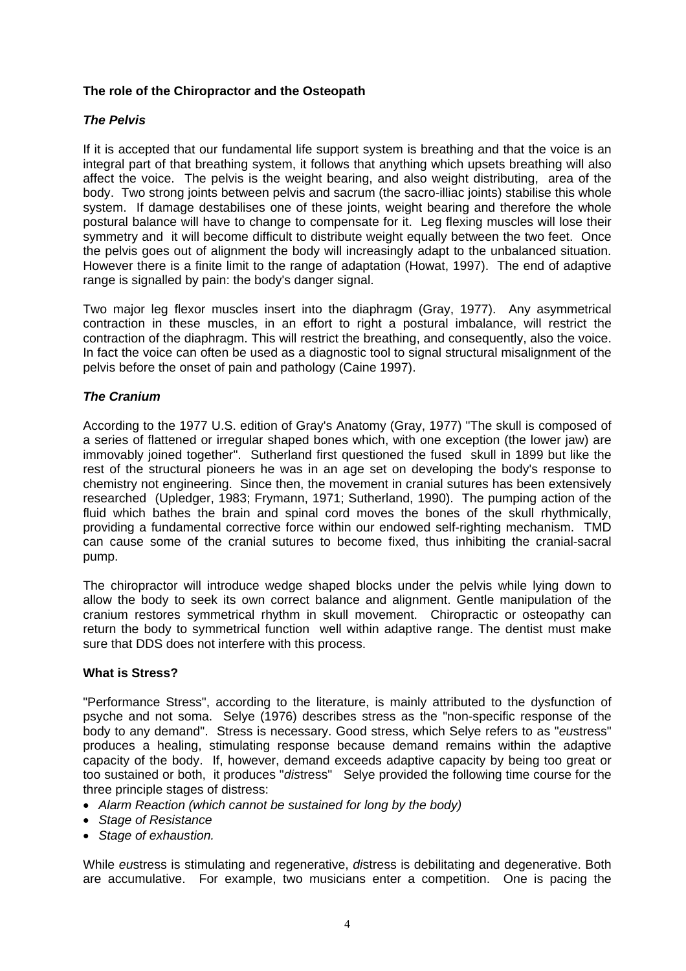# **The role of the Chiropractor and the Osteopath**

# *The Pelvis*

If it is accepted that our fundamental life support system is breathing and that the voice is an integral part of that breathing system, it follows that anything which upsets breathing will also affect the voice. The pelvis is the weight bearing, and also weight distributing, area of the body. Two strong joints between pelvis and sacrum (the sacro-illiac joints) stabilise this whole system. If damage destabilises one of these joints, weight bearing and therefore the whole postural balance will have to change to compensate for it. Leg flexing muscles will lose their symmetry and it will become difficult to distribute weight equally between the two feet. Once the pelvis goes out of alignment the body will increasingly adapt to the unbalanced situation. However there is a finite limit to the range of adaptation (Howat, 1997). The end of adaptive range is signalled by pain: the body's danger signal.

Two major leg flexor muscles insert into the diaphragm (Gray, 1977). Any asymmetrical contraction in these muscles, in an effort to right a postural imbalance, will restrict the contraction of the diaphragm. This will restrict the breathing, and consequently, also the voice. In fact the voice can often be used as a diagnostic tool to signal structural misalignment of the pelvis before the onset of pain and pathology (Caine 1997).

# *The Cranium*

According to the 1977 U.S. edition of Gray's Anatomy (Gray, 1977) "The skull is composed of a series of flattened or irregular shaped bones which, with one exception (the lower jaw) are immovably joined together". Sutherland first questioned the fused skull in 1899 but like the rest of the structural pioneers he was in an age set on developing the body's response to chemistry not engineering. Since then, the movement in cranial sutures has been extensively researched (Upledger, 1983; Frymann, 1971; Sutherland, 1990). The pumping action of the fluid which bathes the brain and spinal cord moves the bones of the skull rhythmically, providing a fundamental corrective force within our endowed self-righting mechanism. TMD can cause some of the cranial sutures to become fixed, thus inhibiting the cranial-sacral pump.

The chiropractor will introduce wedge shaped blocks under the pelvis while lying down to allow the body to seek its own correct balance and alignment. Gentle manipulation of the cranium restores symmetrical rhythm in skull movement. Chiropractic or osteopathy can return the body to symmetrical function well within adaptive range. The dentist must make sure that DDS does not interfere with this process.

# **What is Stress?**

"Performance Stress", according to the literature, is mainly attributed to the dysfunction of psyche and not soma. Selye (1976) describes stress as the "non-specific response of the body to any demand". Stress is necessary. Good stress, which Selye refers to as "*eu*stress" produces a healing, stimulating response because demand remains within the adaptive capacity of the body. If, however, demand exceeds adaptive capacity by being too great or too sustained or both, it produces "*dis*tress" Selye provided the following time course for the three principle stages of distress:

- *Alarm Reaction (which cannot be sustained for long by the body)*
- *Stage of Resistance*
- *Stage of exhaustion.*

While *eu*stress is stimulating and regenerative, *di*stress is debilitating and degenerative. Both are accumulative. For example, two musicians enter a competition. One is pacing the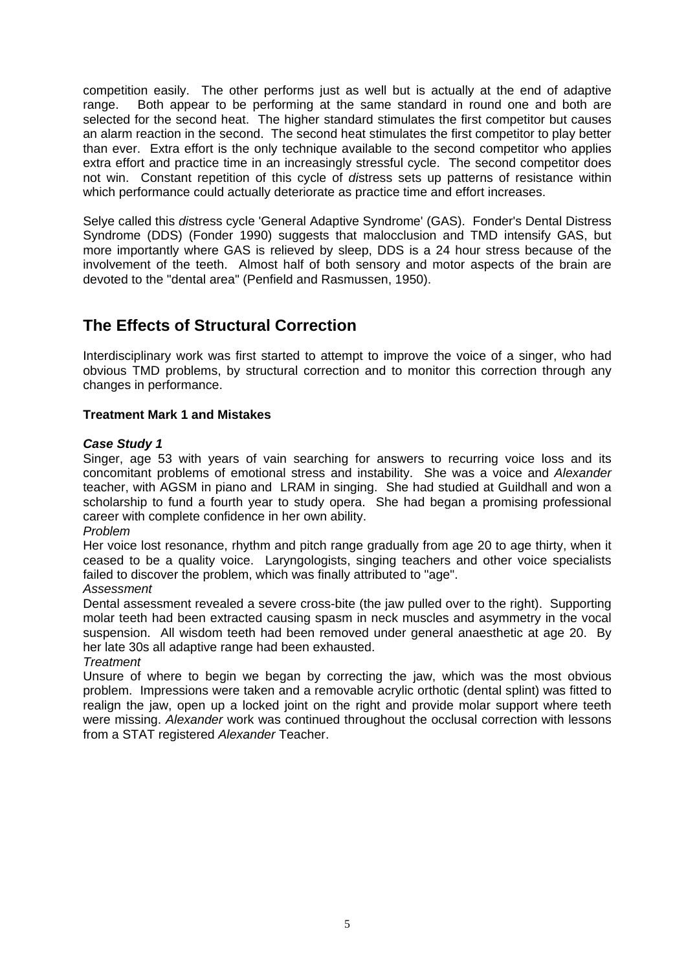competition easily. The other performs just as well but is actually at the end of adaptive range. Both appear to be performing at the same standard in round one and both are selected for the second heat. The higher standard stimulates the first competitor but causes an alarm reaction in the second. The second heat stimulates the first competitor to play better than ever. Extra effort is the only technique available to the second competitor who applies extra effort and practice time in an increasingly stressful cycle. The second competitor does not win. Constant repetition of this cycle of *di*stress sets up patterns of resistance within which performance could actually deteriorate as practice time and effort increases.

Selye called this *di*stress cycle 'General Adaptive Syndrome' (GAS). Fonder's Dental Distress Syndrome (DDS) (Fonder 1990) suggests that malocclusion and TMD intensify GAS, but more importantly where GAS is relieved by sleep, DDS is a 24 hour stress because of the involvement of the teeth. Almost half of both sensory and motor aspects of the brain are devoted to the "dental area" (Penfield and Rasmussen, 1950).

# **The Effects of Structural Correction**

Interdisciplinary work was first started to attempt to improve the voice of a singer, who had obvious TMD problems, by structural correction and to monitor this correction through any changes in performance.

# **Treatment Mark 1 and Mistakes**

# *Case Study 1*

Singer, age 53 with years of vain searching for answers to recurring voice loss and its concomitant problems of emotional stress and instability. She was a voice and *Alexander* teacher, with AGSM in piano and LRAM in singing. She had studied at Guildhall and won a scholarship to fund a fourth year to study opera. She had began a promising professional career with complete confidence in her own ability.

*Problem*

Her voice lost resonance, rhythm and pitch range gradually from age 20 to age thirty, when it ceased to be a quality voice. Laryngologists, singing teachers and other voice specialists failed to discover the problem, which was finally attributed to "age".

*Assessment*

Dental assessment revealed a severe cross-bite (the jaw pulled over to the right). Supporting molar teeth had been extracted causing spasm in neck muscles and asymmetry in the vocal suspension. All wisdom teeth had been removed under general anaesthetic at age 20. By her late 30s all adaptive range had been exhausted.

*Treatment* 

Unsure of where to begin we began by correcting the jaw, which was the most obvious problem. Impressions were taken and a removable acrylic orthotic (dental splint) was fitted to realign the jaw, open up a locked joint on the right and provide molar support where teeth were missing. *Alexander* work was continued throughout the occlusal correction with lessons from a STAT registered *Alexander* Teacher.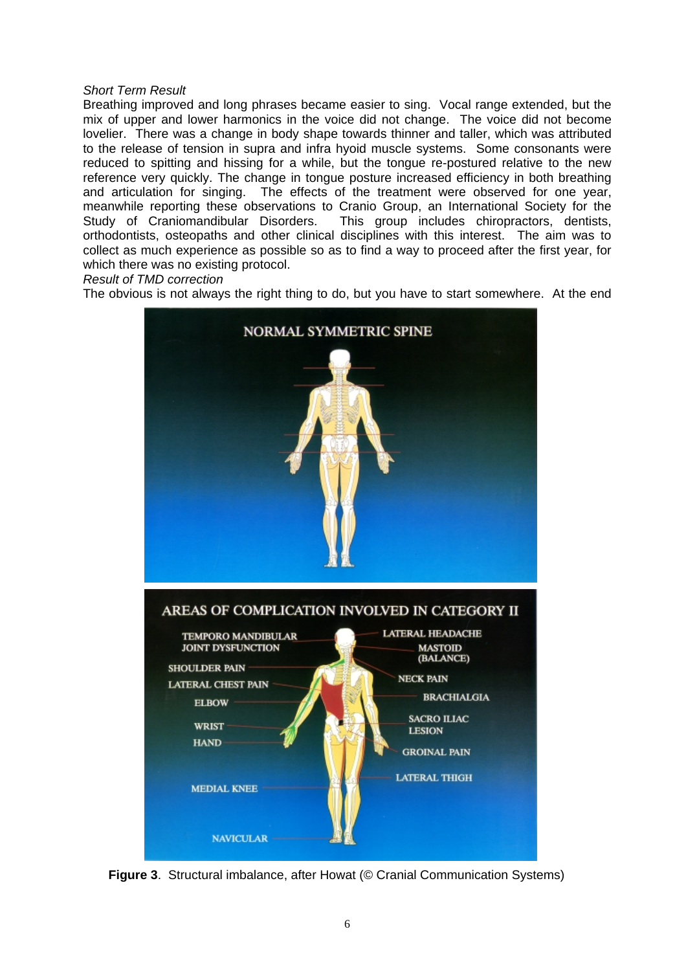#### *Short Term Result*

Breathing improved and long phrases became easier to sing. Vocal range extended, but the mix of upper and lower harmonics in the voice did not change. The voice did not become lovelier. There was a change in body shape towards thinner and taller, which was attributed to the release of tension in supra and infra hyoid muscle systems. Some consonants were reduced to spitting and hissing for a while, but the tongue re-postured relative to the new reference very quickly. The change in tongue posture increased efficiency in both breathing and articulation for singing. The effects of the treatment were observed for one year, meanwhile reporting these observations to Cranio Group, an International Society for the Study of Craniomandibular Disorders. This group includes chiropractors, dentists, orthodontists, osteopaths and other clinical disciplines with this interest. The aim was to collect as much experience as possible so as to find a way to proceed after the first year, for which there was no existing protocol.

*Result of TMD correction*

The obvious is not always the right thing to do, but you have to start somewhere. At the end



**Figure 3**. Structural imbalance, after Howat (© Cranial Communication Systems)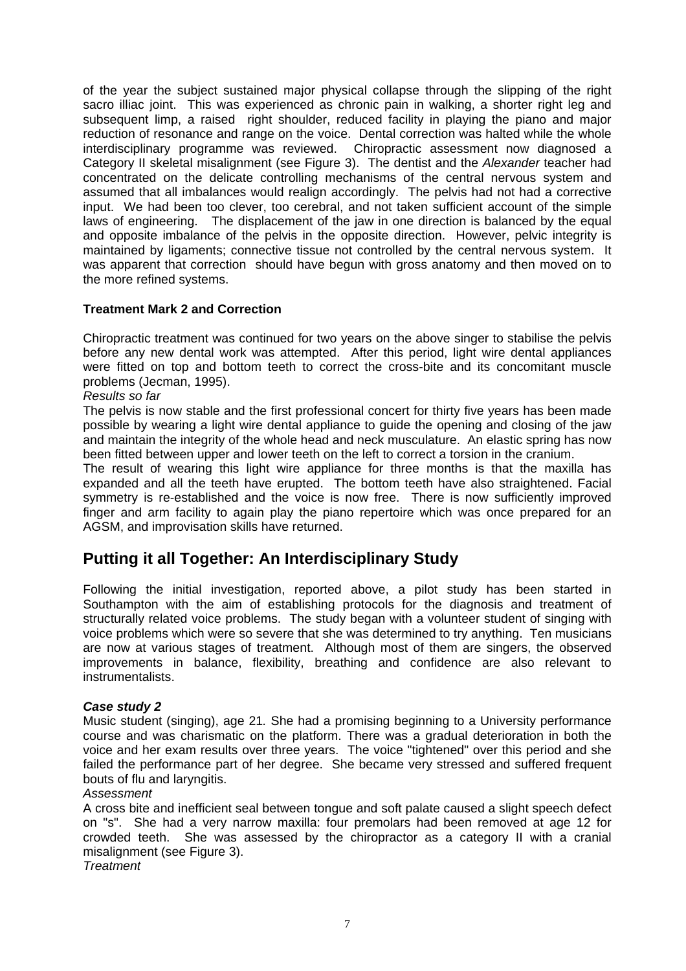of the year the subject sustained major physical collapse through the slipping of the right sacro illiac joint. This was experienced as chronic pain in walking, a shorter right leg and subsequent limp, a raised right shoulder, reduced facility in playing the piano and major reduction of resonance and range on the voice. Dental correction was halted while the whole interdisciplinary programme was reviewed. Chiropractic assessment now diagnosed a Category II skeletal misalignment (see Figure 3). The dentist and the *Alexander* teacher had concentrated on the delicate controlling mechanisms of the central nervous system and assumed that all imbalances would realign accordingly. The pelvis had not had a corrective input. We had been too clever, too cerebral, and not taken sufficient account of the simple laws of engineering. The displacement of the jaw in one direction is balanced by the equal and opposite imbalance of the pelvis in the opposite direction. However, pelvic integrity is maintained by ligaments; connective tissue not controlled by the central nervous system. It was apparent that correction should have begun with gross anatomy and then moved on to the more refined systems.

# **Treatment Mark 2 and Correction**

Chiropractic treatment was continued for two years on the above singer to stabilise the pelvis before any new dental work was attempted. After this period, light wire dental appliances were fitted on top and bottom teeth to correct the cross-bite and its concomitant muscle problems (Jecman, 1995).

*Results so far* 

The pelvis is now stable and the first professional concert for thirty five years has been made possible by wearing a light wire dental appliance to guide the opening and closing of the jaw and maintain the integrity of the whole head and neck musculature. An elastic spring has now been fitted between upper and lower teeth on the left to correct a torsion in the cranium.

The result of wearing this light wire appliance for three months is that the maxilla has expanded and all the teeth have erupted. The bottom teeth have also straightened. Facial symmetry is re-established and the voice is now free. There is now sufficiently improved finger and arm facility to again play the piano repertoire which was once prepared for an AGSM, and improvisation skills have returned.

# **Putting it all Together: An Interdisciplinary Study**

Following the initial investigation, reported above, a pilot study has been started in Southampton with the aim of establishing protocols for the diagnosis and treatment of structurally related voice problems. The study began with a volunteer student of singing with voice problems which were so severe that she was determined to try anything. Ten musicians are now at various stages of treatment. Although most of them are singers, the observed improvements in balance, flexibility, breathing and confidence are also relevant to instrumentalists.

# *Case study 2*

Music student (singing), age 21*.* She had a promising beginning to a University performance course and was charismatic on the platform. There was a gradual deterioration in both the voice and her exam results over three years. The voice "tightened" over this period and she failed the performance part of her degree. She became very stressed and suffered frequent bouts of flu and laryngitis.

## *Assessment*

A cross bite and inefficient seal between tongue and soft palate caused a slight speech defect on "s". She had a very narrow maxilla: four premolars had been removed at age 12 for crowded teeth. She was assessed by the chiropractor as a category II with a cranial misalignment (see Figure 3).

*Treatment*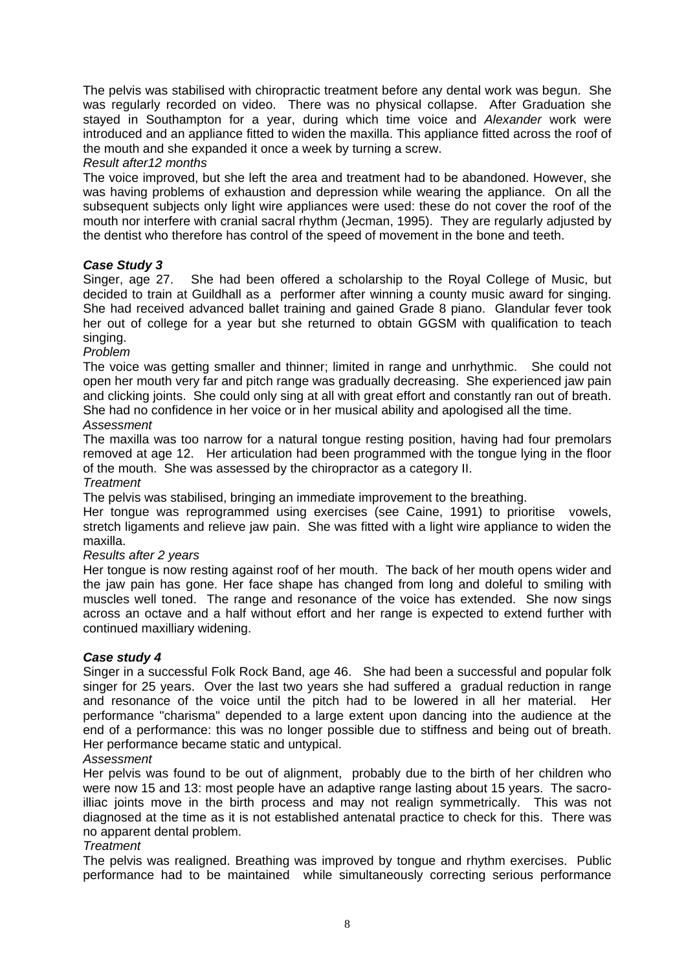The pelvis was stabilised with chiropractic treatment before any dental work was begun. She was regularly recorded on video. There was no physical collapse. After Graduation she stayed in Southampton for a year, during which time voice and *Alexander* work were introduced and an appliance fitted to widen the maxilla. This appliance fitted across the roof of the mouth and she expanded it once a week by turning a screw.

## *Result after12 months*

The voice improved, but she left the area and treatment had to be abandoned. However, she was having problems of exhaustion and depression while wearing the appliance. On all the subsequent subjects only light wire appliances were used: these do not cover the roof of the mouth nor interfere with cranial sacral rhythm (Jecman, 1995). They are regularly adjusted by the dentist who therefore has control of the speed of movement in the bone and teeth.

# *Case Study 3*

Singer, age 27.She had been offered a scholarship to the Royal College of Music, but decided to train at Guildhall as a performer after winning a county music award for singing. She had received advanced ballet training and gained Grade 8 piano. Glandular fever took her out of college for a year but she returned to obtain GGSM with qualification to teach singing.

## *Problem*

The voice was getting smaller and thinner; limited in range and unrhythmic. She could not open her mouth very far and pitch range was gradually decreasing. She experienced jaw pain and clicking joints. She could only sing at all with great effort and constantly ran out of breath. She had no confidence in her voice or in her musical ability and apologised all the time. *Assessment*

The maxilla was too narrow for a natural tongue resting position, having had four premolars removed at age 12. Her articulation had been programmed with the tongue lying in the floor of the mouth. She was assessed by the chiropractor as a category II.

*Treatment* 

The pelvis was stabilised, bringing an immediate improvement to the breathing.

Her tongue was reprogrammed using exercises (see Caine, 1991) to prioritise vowels, stretch ligaments and relieve jaw pain. She was fitted with a light wire appliance to widen the maxilla.

# *Results after 2 years*

Her tongue is now resting against roof of her mouth. The back of her mouth opens wider and the jaw pain has gone. Her face shape has changed from long and doleful to smiling with muscles well toned. The range and resonance of the voice has extended. She now sings across an octave and a half without effort and her range is expected to extend further with continued maxilliary widening.

## *Case study 4*

Singer in a successful Folk Rock Band, age 46. She had been a successful and popular folk singer for 25 years. Over the last two years she had suffered a gradual reduction in range and resonance of the voice until the pitch had to be lowered in all her material. Her performance "charisma" depended to a large extent upon dancing into the audience at the end of a performance: this was no longer possible due to stiffness and being out of breath. Her performance became static and untypical.

## *Assessment*

Her pelvis was found to be out of alignment, probably due to the birth of her children who were now 15 and 13: most people have an adaptive range lasting about 15 years. The sacroilliac joints move in the birth process and may not realign symmetrically. This was not diagnosed at the time as it is not established antenatal practice to check for this. There was no apparent dental problem.

## *Treatment*

The pelvis was realigned. Breathing was improved by tongue and rhythm exercises.Public performance had to be maintained while simultaneously correcting serious performance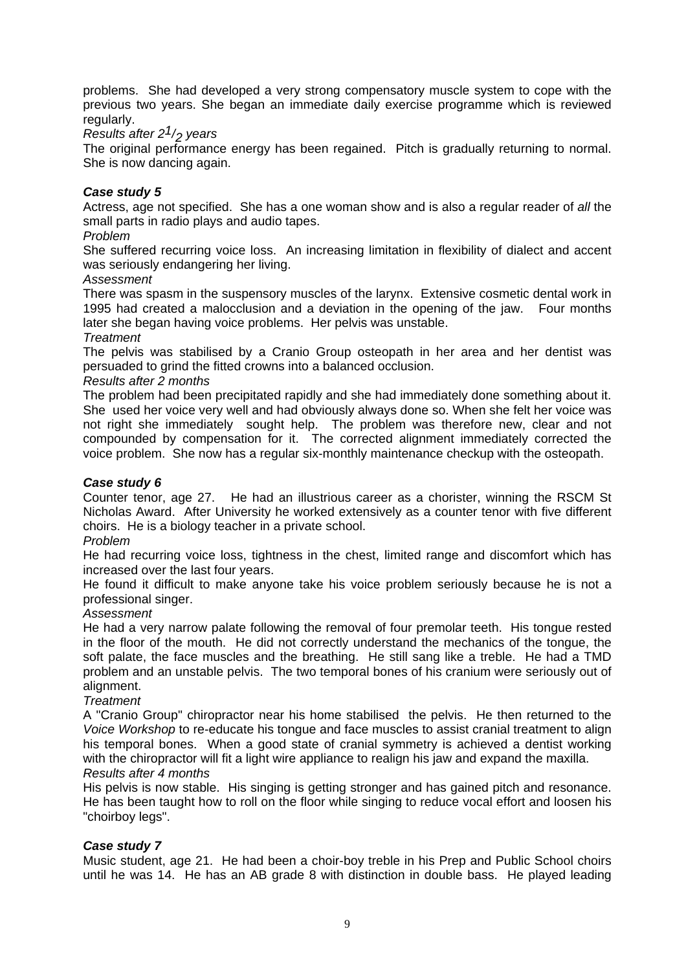problems. She had developed a very strong compensatory muscle system to cope with the previous two years. She began an immediate daily exercise programme which is reviewed regularly.

# *Results after 21/2 years*

The original performance energy has been regained. Pitch is gradually returning to normal. She is now dancing again.

# *Case study 5*

Actress, age not specified. She has a one woman show and is also a regular reader of *all* the small parts in radio plays and audio tapes.

## *Problem*

She suffered recurring voice loss. An increasing limitation in flexibility of dialect and accent was seriously endangering her living.

## *Assessment*

There was spasm in the suspensory muscles of the larynx. Extensive cosmetic dental work in 1995 had created a malocclusion and a deviation in the opening of the jaw. Four months later she began having voice problems. Her pelvis was unstable.

#### *Treatment*

The pelvis was stabilised by a Cranio Group osteopath in her area and her dentist was persuaded to grind the fitted crowns into a balanced occlusion.

#### *Results after 2 months*

The problem had been precipitated rapidly and she had immediately done something about it. She used her voice very well and had obviously always done so. When she felt her voice was not right she immediately sought help. The problem was therefore new, clear and not compounded by compensation for it. The corrected alignment immediately corrected the voice problem. She now has a regular six-monthly maintenance checkup with the osteopath.

## *Case study 6*

Counter tenor, age 27. He had an illustrious career as a chorister, winning the RSCM St Nicholas Award. After University he worked extensively as a counter tenor with five different choirs. He is a biology teacher in a private school.

#### *Problem*

He had recurring voice loss, tightness in the chest, limited range and discomfort which has increased over the last four years.

He found it difficult to make anyone take his voice problem seriously because he is not a professional singer.

## *Assessment*

He had a very narrow palate following the removal of four premolar teeth. His tongue rested in the floor of the mouth. He did not correctly understand the mechanics of the tongue, the soft palate, the face muscles and the breathing. He still sang like a treble. He had a TMD problem and an unstable pelvis. The two temporal bones of his cranium were seriously out of alignment.

#### *Treatment*

A "Cranio Group" chiropractor near his home stabilised the pelvis. He then returned to the *Voice Workshop* to re-educate his tongue and face muscles to assist cranial treatment to align his temporal bones. When a good state of cranial symmetry is achieved a dentist working with the chiropractor will fit a light wire appliance to realign his jaw and expand the maxilla. *Results after 4 months*

His pelvis is now stable. His singing is getting stronger and has gained pitch and resonance. He has been taught how to roll on the floor while singing to reduce vocal effort and loosen his "choirboy legs".

## *Case study 7*

Music student, age 21. He had been a choir-boy treble in his Prep and Public School choirs until he was 14. He has an AB grade 8 with distinction in double bass. He played leading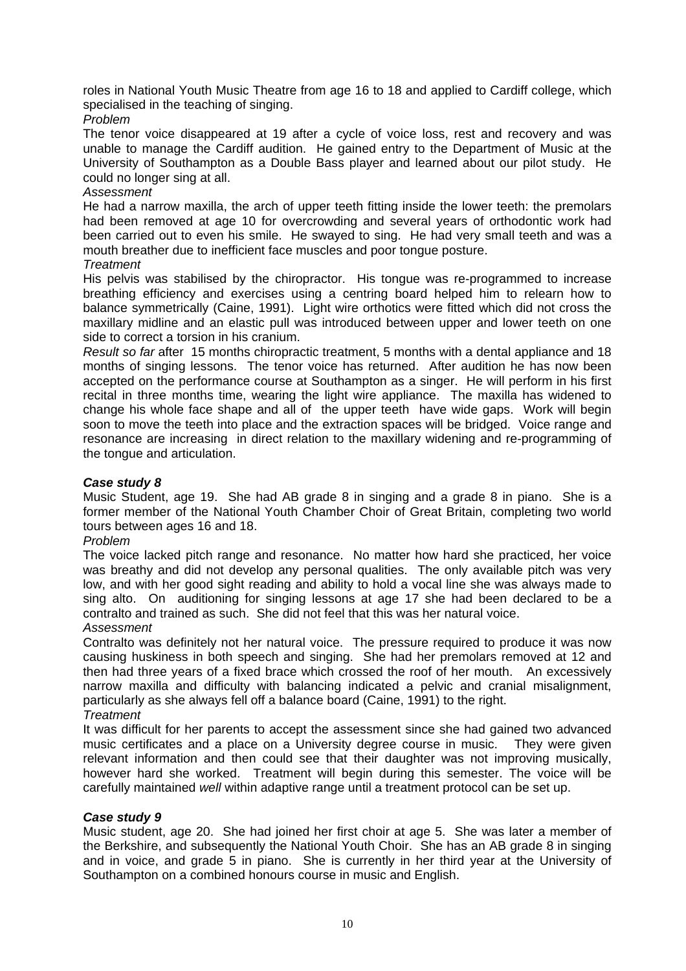roles in National Youth Music Theatre from age 16 to 18 and applied to Cardiff college, which specialised in the teaching of singing.

## *Problem*

The tenor voice disappeared at 19 after a cycle of voice loss, rest and recovery and was unable to manage the Cardiff audition. He gained entry to the Department of Music at the University of Southampton as a Double Bass player and learned about our pilot study. He could no longer sing at all.

# *Assessment*

He had a narrow maxilla, the arch of upper teeth fitting inside the lower teeth: the premolars had been removed at age 10 for overcrowding and several years of orthodontic work had been carried out to even his smile. He swayed to sing. He had very small teeth and was a mouth breather due to inefficient face muscles and poor tongue posture.

## *Treatment*

His pelvis was stabilised by the chiropractor. His tongue was re-programmed to increase breathing efficiency and exercises using a centring board helped him to relearn how to balance symmetrically (Caine, 1991). Light wire orthotics were fitted which did not cross the maxillary midline and an elastic pull was introduced between upper and lower teeth on one side to correct a torsion in his cranium.

*Result so far* after 15 months chiropractic treatment, 5 months with a dental appliance and 18 months of singing lessons. The tenor voice has returned. After audition he has now been accepted on the performance course at Southampton as a singer. He will perform in his first recital in three months time, wearing the light wire appliance. The maxilla has widened to change his whole face shape and all of the upper teeth have wide gaps. Work will begin soon to move the teeth into place and the extraction spaces will be bridged. Voice range and resonance are increasing in direct relation to the maxillary widening and re-programming of the tongue and articulation.

# *Case study 8*

Music Student, age 19. She had AB grade 8 in singing and a grade 8 in piano. She is a former member of the National Youth Chamber Choir of Great Britain, completing two world tours between ages 16 and 18.

## *Problem*

The voice lacked pitch range and resonance. No matter how hard she practiced, her voice was breathy and did not develop any personal qualities. The only available pitch was very low, and with her good sight reading and ability to hold a vocal line she was always made to sing alto. On auditioning for singing lessons at age 17 she had been declared to be a contralto and trained as such. She did not feel that this was her natural voice. *Assessment*

Contralto was definitely not her natural voice. The pressure required to produce it was now causing huskiness in both speech and singing. She had her premolars removed at 12 and then had three years of a fixed brace which crossed the roof of her mouth. An excessively narrow maxilla and difficulty with balancing indicated a pelvic and cranial misalignment, particularly as she always fell off a balance board (Caine, 1991) to the right. *Treatment*

It was difficult for her parents to accept the assessment since she had gained two advanced music certificates and a place on a University degree course in music. They were given relevant information and then could see that their daughter was not improving musically, however hard she worked. Treatment will begin during this semester. The voice will be carefully maintained *well* within adaptive range until a treatment protocol can be set up.

# *Case study 9*

Music student, age 20. She had joined her first choir at age 5. She was later a member of the Berkshire, and subsequently the National Youth Choir. She has an AB grade 8 in singing and in voice, and grade 5 in piano. She is currently in her third year at the University of Southampton on a combined honours course in music and English.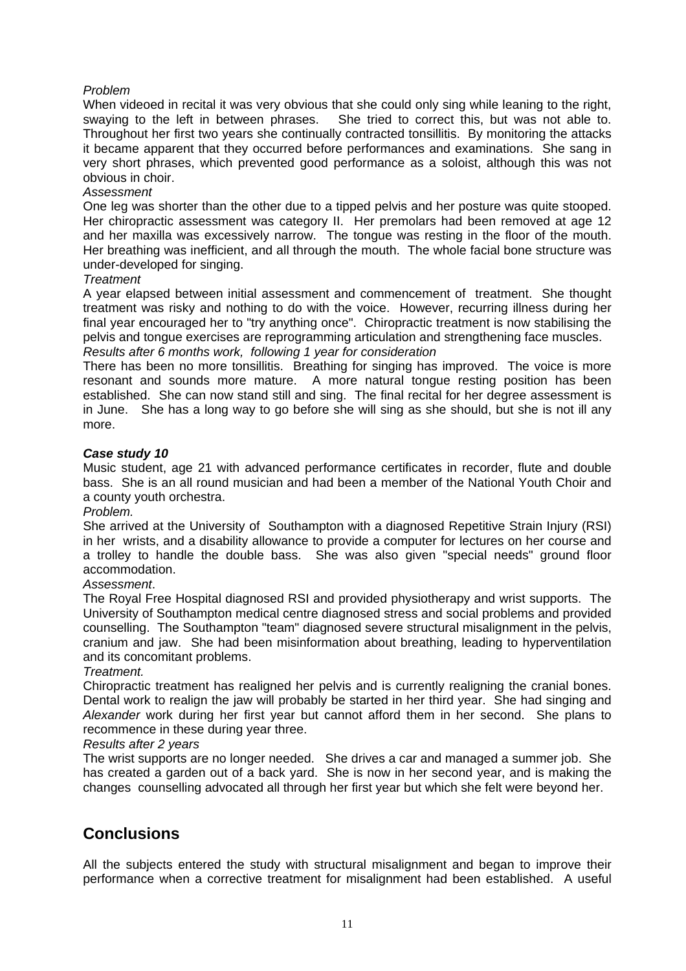# *Problem*

When videoed in recital it was very obvious that she could only sing while leaning to the right, swaying to the left in between phrases. She tried to correct this, but was not able to. Throughout her first two years she continually contracted tonsillitis. By monitoring the attacks it became apparent that they occurred before performances and examinations. She sang in very short phrases, which prevented good performance as a soloist, although this was not obvious in choir.

## *Assessment*

One leg was shorter than the other due to a tipped pelvis and her posture was quite stooped. Her chiropractic assessment was category II. Her premolars had been removed at age 12 and her maxilla was excessively narrow. The tongue was resting in the floor of the mouth. Her breathing was inefficient, and all through the mouth. The whole facial bone structure was under-developed for singing.

# *Treatment*

A year elapsed between initial assessment and commencement of treatment. She thought treatment was risky and nothing to do with the voice. However, recurring illness during her final year encouraged her to "try anything once". Chiropractic treatment is now stabilising the pelvis and tongue exercises are reprogramming articulation and strengthening face muscles. *Results after 6 months work, following 1 year for consideration* 

There has been no more tonsillitis. Breathing for singing has improved. The voice is more resonant and sounds more mature. A more natural tongue resting position has been established. She can now stand still and sing. The final recital for her degree assessment is in June. She has a long way to go before she will sing as she should, but she is not ill any more.

## *Case study 10*

Music student, age 21 with advanced performance certificates in recorder, flute and double bass. She is an all round musician and had been a member of the National Youth Choir and a county youth orchestra.

## *Problem.*

She arrived at the University of Southampton with a diagnosed Repetitive Strain Injury (RSI) in her wrists, and a disability allowance to provide a computer for lectures on her course and a trolley to handle the double bass. She was also given "special needs" ground floor accommodation.

# *Assessment*.

The Royal Free Hospital diagnosed RSI and provided physiotherapy and wrist supports. The University of Southampton medical centre diagnosed stress and social problems and provided counselling. The Southampton "team" diagnosed severe structural misalignment in the pelvis, cranium and jaw. She had been misinformation about breathing, leading to hyperventilation and its concomitant problems.

## *Treatment.*

Chiropractic treatment has realigned her pelvis and is currently realigning the cranial bones. Dental work to realign the jaw will probably be started in her third year. She had singing and *Alexander* work during her first year but cannot afford them in her second. She plans to recommence in these during year three.

## *Results after 2 years*

The wrist supports are no longer needed. She drives a car and managed a summer job. She has created a garden out of a back yard. She is now in her second year, and is making the changes counselling advocated all through her first year but which she felt were beyond her.

# **Conclusions**

All the subjects entered the study with structural misalignment and began to improve their performance when a corrective treatment for misalignment had been established. A useful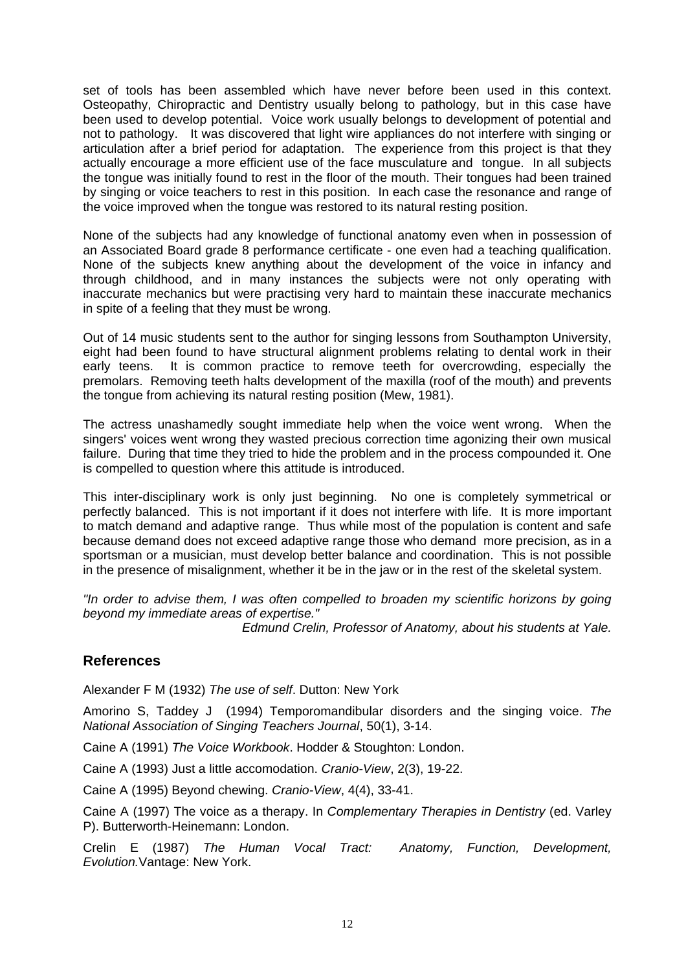set of tools has been assembled which have never before been used in this context. Osteopathy, Chiropractic and Dentistry usually belong to pathology, but in this case have been used to develop potential. Voice work usually belongs to development of potential and not to pathology. It was discovered that light wire appliances do not interfere with singing or articulation after a brief period for adaptation. The experience from this project is that they actually encourage a more efficient use of the face musculature and tongue. In all subjects the tongue was initially found to rest in the floor of the mouth. Their tongues had been trained by singing or voice teachers to rest in this position. In each case the resonance and range of the voice improved when the tongue was restored to its natural resting position.

None of the subjects had any knowledge of functional anatomy even when in possession of an Associated Board grade 8 performance certificate - one even had a teaching qualification. None of the subjects knew anything about the development of the voice in infancy and through childhood, and in many instances the subjects were not only operating with inaccurate mechanics but were practising very hard to maintain these inaccurate mechanics in spite of a feeling that they must be wrong.

Out of 14 music students sent to the author for singing lessons from Southampton University, eight had been found to have structural alignment problems relating to dental work in their early teens. It is common practice to remove teeth for overcrowding, especially the premolars. Removing teeth halts development of the maxilla (roof of the mouth) and prevents the tongue from achieving its natural resting position (Mew, 1981).

The actress unashamedly sought immediate help when the voice went wrong. When the singers' voices went wrong they wasted precious correction time agonizing their own musical failure. During that time they tried to hide the problem and in the process compounded it. One is compelled to question where this attitude is introduced.

This inter-disciplinary work is only just beginning. No one is completely symmetrical or perfectly balanced. This is not important if it does not interfere with life. It is more important to match demand and adaptive range. Thus while most of the population is content and safe because demand does not exceed adaptive range those who demand more precision, as in a sportsman or a musician, must develop better balance and coordination. This is not possible in the presence of misalignment, whether it be in the jaw or in the rest of the skeletal system.

*"In order to advise them, I was often compelled to broaden my scientific horizons by going beyond my immediate areas of expertise."* 

*Edmund Crelin, Professor of Anatomy, about his students at Yale.*

# **References**

Alexander F M (1932) *The use of self*. Dutton: New York

Amorino S, Taddey J (1994) Temporomandibular disorders and the singing voice. *The National Association of Singing Teachers Journal*, 50(1), 3-14.

Caine A (1991) *The Voice Workbook*. Hodder & Stoughton: London.

Caine A (1993) Just a little accomodation. *Cranio-View*, 2(3), 19-22.

Caine A (1995) Beyond chewing. *Cranio-View*, 4(4), 33-41.

Caine A (1997) The voice as a therapy. In *Complementary Therapies in Dentistry* (ed. Varley P). Butterworth-Heinemann: London.

Crelin E (1987) *The Human Vocal Tract: Anatomy, Function, Development, Evolution.*Vantage: New York.